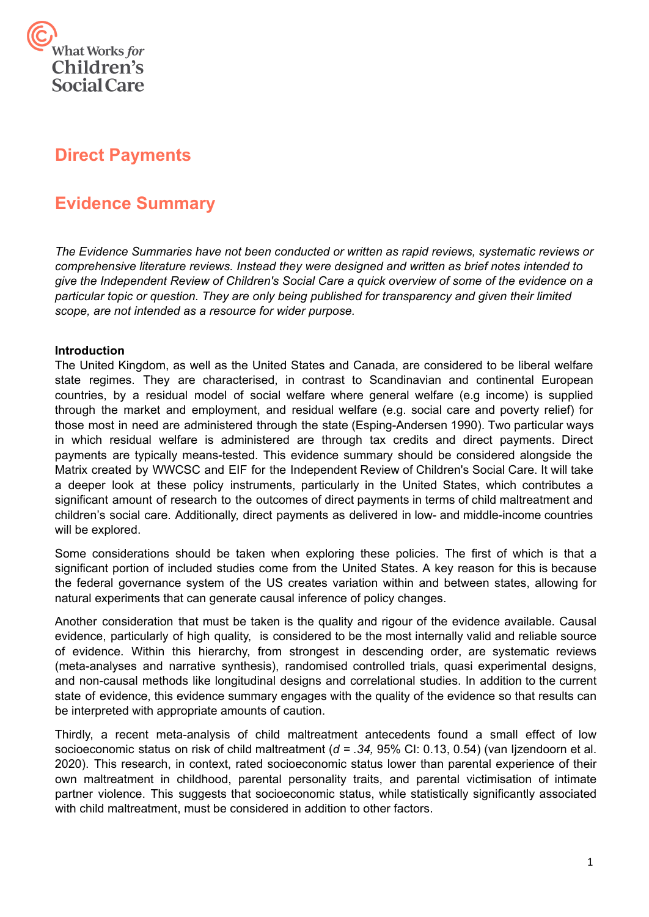

# **Direct Payments**

# **Evidence Summary**

*The Evidence Summaries have not been conducted or written as rapid reviews, systematic reviews or comprehensive literature reviews. Instead they were designed and written as brief notes intended to give the Independent Review of Children's Social Care a quick overview of some of the evidence on a particular topic or question. They are only being published for transparency and given their limited scope, are not intended as a resource for wider purpose.*

## **Introduction**

 The United Kingdom, as well as the United States and Canada, are considered to be liberal welfare state regimes. They are characterised, in contrast to Scandinavian and continental European countries, by a residual model of social welfare where general welfare (e.g income) is supplied through the market and employment, and residual welfare (e.g. social care and poverty relief) for those most in need are administered through the state (Esping-Andersen 1990). Two particular ways in which residual welfare is administered are through tax credits and direct payments. Direct payments are typically means-tested. This evidence summary should be considered alongside the Matrix created by WWCSC and EIF for the Independent Review of Children's Social Care. It will take a deeper look at these policy instruments, particularly in the United States, which contributes a significant amount of research to the outcomes of direct payments in terms of child maltreatment and children's social care. Additionally, direct payments as delivered in low- and middle-income countries will be explored.

 Some considerations should be taken when exploring these policies. The first of which is that a significant portion of included studies come from the United States. A key reason for this is because the federal governance system of the US creates variation within and between states, allowing for natural experiments that can generate causal inference of policy changes.

 Another consideration that must be taken is the quality and rigour of the evidence available. Causal evidence, particularly of high quality, is considered to be the most internally valid and reliable source of evidence. Within this hierarchy, from strongest in descending order, are systematic reviews (meta-analyses and narrative synthesis), randomised controlled trials, quasi experimental designs, and non-causal methods like longitudinal designs and correlational studies. In addition to the current state of evidence, this evidence summary engages with the quality of the evidence so that results can be interpreted with appropriate amounts of caution.

 Thirdly, a recent meta-analysis of child maltreatment antecedents found a small effect of low socioeconomic status on risk of child maltreatment (*d = .34,* 95% CI: 0.13, 0.54) (van Ijzendoorn et al. 2020). This research, in context, rated socioeconomic status lower than parental experience of their own maltreatment in childhood, parental personality traits, and parental victimisation of intimate partner violence. This suggests that socioeconomic status, while statistically significantly associated with child maltreatment, must be considered in addition to other factors.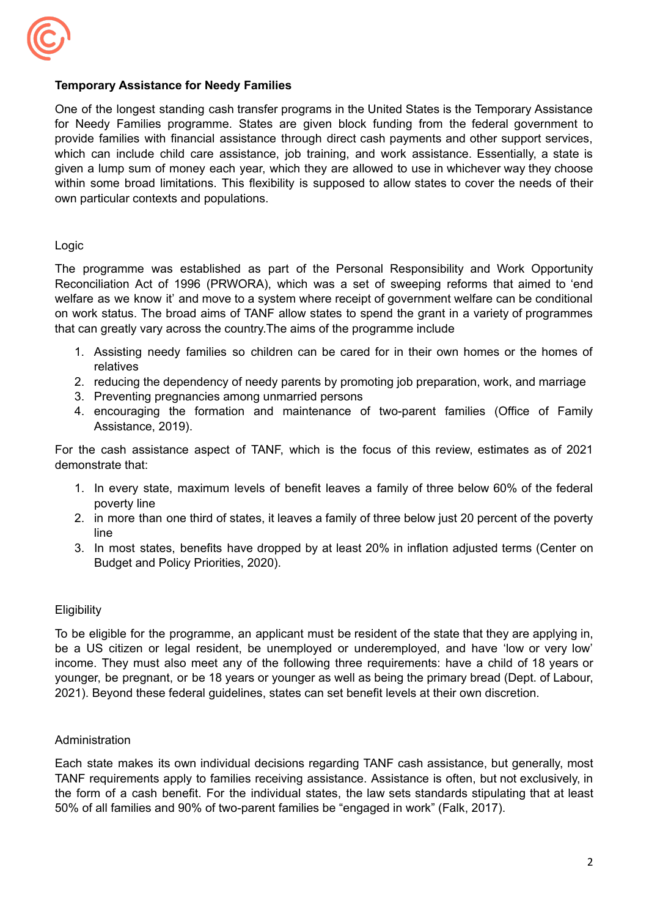

## **Temporary Assistance for Needy Families**

One of the longest standing cash transfer programs in the United States is the Temporary Assistance for Needy Families programme. States are given block funding from the federal government to provide families with financial assistance through direct cash payments and other support services, which can include child care assistance, job training, and work assistance. Essentially, a state is given a lump sum of money each year, which they are allowed to use in whichever way they choose within some broad limitations. This flexibility is supposed to allow states to cover the needs of their own particular contexts and populations.

## Logic

The programme was established as part of the Personal Responsibility and Work Opportunity Reconciliation Act of 1996 (PRWORA), which was a set of sweeping reforms that aimed to 'end welfare as we know it' and move to a system where receipt of government welfare can be conditional on work status. The broad aims of TANF allow states to spend the grant in a variety of programmes that can greatly vary across the country.The aims of the programme include

- 1. Assisting needy families so children can be cared for in their own homes or the homes of relatives
- 2. reducing the dependency of needy parents by promoting job preparation, work, and marriage
- 3. Preventing pregnancies among unmarried persons
- 4. encouraging the formation and maintenance of two-parent families (Office of Family Assistance, 2019).

For the cash assistance aspect of TANF, which is the focus of this review, estimates as of 2021 demonstrate that:

- 1. In every state, maximum levels of benefit leaves a family of three below 60% of the federal poverty line
- 2. in more than one third of states, it leaves a family of three below just 20 percent of the poverty line
- 3. In most states, benefits have dropped by at least 20% in inflation adjusted terms (Center on Budget and Policy Priorities, 2020).

## **Eligibility**

To be eligible for the programme, an applicant must be resident of the state that they are applying in, be a US citizen or legal resident, be unemployed or underemployed, and have 'low or very low' income. They must also meet any of the following three requirements: have a child of 18 years or younger, be pregnant, or be 18 years or younger as well as being the primary bread (Dept. of Labour, 2021). Beyond these federal guidelines, states can set benefit levels at their own discretion.

## Administration

Each state makes its own individual decisions regarding TANF cash assistance, but generally, most TANF requirements apply to families receiving assistance. Assistance is often, but not exclusively, in the form of a cash benefit. For the individual states, the law sets standards stipulating that at least 50% of all families and 90% of two-parent families be "engaged in work" (Falk, 2017).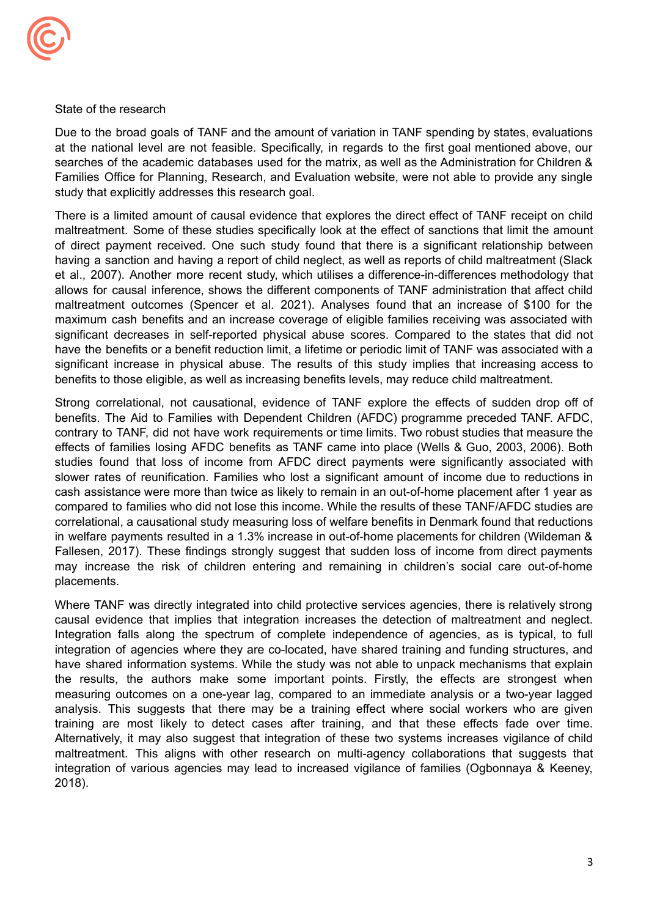

#### State of the research

 study that explicitly addresses this research goal. Due to the broad goals of TANF and the amount of variation in TANF spending by states, evaluations at the national level are not feasible. Specifically, in regards to the first goal mentioned above, our searches of the academic databases used for the matrix, as well as the Administration for Children & Families Office for Planning, Research, and Evaluation website, were not able to provide any single

 benefits to those eligible, as well as increasing benefits levels, may reduce child maltreatment. There is a limited amount of causal evidence that explores the direct effect of TANF receipt on child maltreatment. Some of these studies specifically look at the effect of sanctions that limit the amount of direct payment received. One such study found that there is a significant relationship between having a sanction and having a report of child neglect, as well as reports of child maltreatment (Slack et al., 2007). Another more recent study, which utilises a difference-in-differences methodology that allows for causal inference, shows the different components of TANF administration that affect child maltreatment outcomes (Spencer et al. 2021). Analyses found that an increase of \$100 for the maximum cash benefits and an increase coverage of eligible families receiving was associated with significant decreases in self-reported physical abuse scores. Compared to the states that did not have the benefits or a benefit reduction limit, a lifetime or periodic limit of TANF was associated with a significant increase in physical abuse. The results of this study implies that increasing access to

Strong correlational, not causational, evidence of TANF explore the effects of sudden drop off of benefits. The Aid to Families with Dependent Children (AFDC) programme preceded TANF. AFDC, contrary to TANF, did not have work requirements or time limits. Two robust studies that measure the effects of families losing AFDC benefits as TANF came into place (Wells & Guo, 2003, 2006). Both studies found that loss of income from AFDC direct payments were significantly associated with slower rates of reunification. Families who lost a significant amount of income due to reductions in cash assistance were more than twice as likely to remain in an out-of-home placement after 1 year as compared to families who did not lose this income. While the results of these TANF/AFDC studies are correlational, a causational study measuring loss of welfare benefits in Denmark found that reductions in welfare payments resulted in a 1.3% increase in out-of-home placements for children (Wildeman & Fallesen, 2017). These findings strongly suggest that sudden loss of income from direct payments may increase the risk of children entering and remaining in children's social care out-of-home placements.

Where TANF was directly integrated into child protective services agencies, there is relatively strong causal evidence that implies that integration increases the detection of maltreatment and neglect. Integration falls along the spectrum of complete independence of agencies, as is typical, to full integration of agencies where they are co-located, have shared training and funding structures, and have shared information systems. While the study was not able to unpack mechanisms that explain the results, the authors make some important points. Firstly, the effects are strongest when measuring outcomes on a one-year lag, compared to an immediate analysis or a two-year lagged analysis. This suggests that there may be a training effect where social workers who are given training are most likely to detect cases after training, and that these effects fade over time. Alternatively, it may also suggest that integration of these two systems increases vigilance of child maltreatment. This aligns with other research on multi-agency collaborations that suggests that integration of various agencies may lead to increased vigilance of families (Ogbonnaya & Keeney, 2018).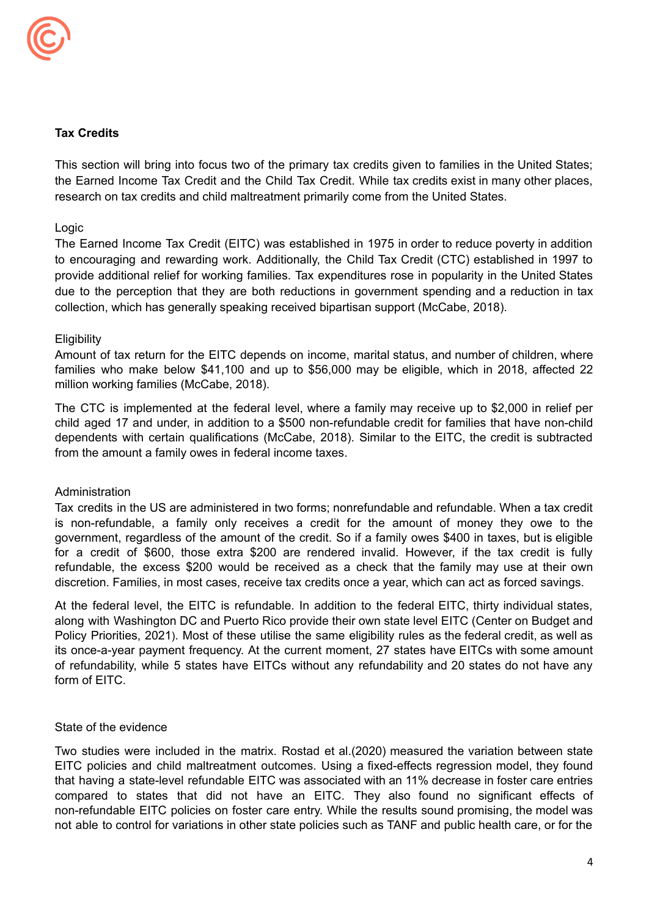

# **Tax Credits**

 research on tax credits and child maltreatment primarily come from the United States. This section will bring into focus two of the primary tax credits given to families in the United States; the Earned Income Tax Credit and the Child Tax Credit. While tax credits exist in many other places,

## Logic

 collection, which has generally speaking received bipartisan support (McCabe, 2018). The Earned Income Tax Credit (EITC) was established in 1975 in order to reduce poverty in addition to encouraging and rewarding work. Additionally, the Child Tax Credit (CTC) established in 1997 to provide additional relief for working families. Tax expenditures rose in popularity in the United States due to the perception that they are both reductions in government spending and a reduction in tax

#### **Eligibility**

 million working families (McCabe, 2018). Amount of tax return for the EITC depends on income, marital status, and number of children, where families who make below \$41,100 and up to \$56,000 may be eligible, which in 2018, affected 22

 from the amount a family owes in federal income taxes. The CTC is implemented at the federal level, where a family may receive up to \$2,000 in relief per child aged 17 and under, in addition to a \$500 non-refundable credit for families that have non-child dependents with certain qualifications (McCabe, 2018). Similar to the EITC, the credit is subtracted

## Administration

 discretion. Families, in most cases, receive tax credits once a year, which can act as forced savings. Tax credits in the US are administered in two forms; nonrefundable and refundable. When a tax credit is non-refundable, a family only receives a credit for the amount of money they owe to the government, regardless of the amount of the credit. So if a family owes \$400 in taxes, but is eligible for a credit of \$600, those extra \$200 are rendered invalid. However, if the tax credit is fully refundable, the excess \$200 would be received as a check that the family may use at their own

 form of EITC. At the federal level, the EITC is refundable. In addition to the federal EITC, thirty individual states, along with Washington DC and Puerto Rico provide their own state level EITC (Center on Budget and Policy Priorities, 2021). Most of these utilise the same eligibility rules as the federal credit, as well as its once-a-year payment frequency. At the current moment, 27 states have EITCs with some amount of refundability, while 5 states have EITCs without any refundability and 20 states do not have any

#### State of the evidence

Two studies were included in the matrix. Rostad et al.(2020) measured the variation between state EITC policies and child maltreatment outcomes. Using a fixed-effects regression model, they found that having a state-level refundable EITC was associated with an 11% decrease in foster care entries compared to states that did not have an EITC. They also found no significant effects of non-refundable EITC policies on foster care entry. While the results sound promising, the model was not able to control for variations in other state policies such as TANF and public health care, or for the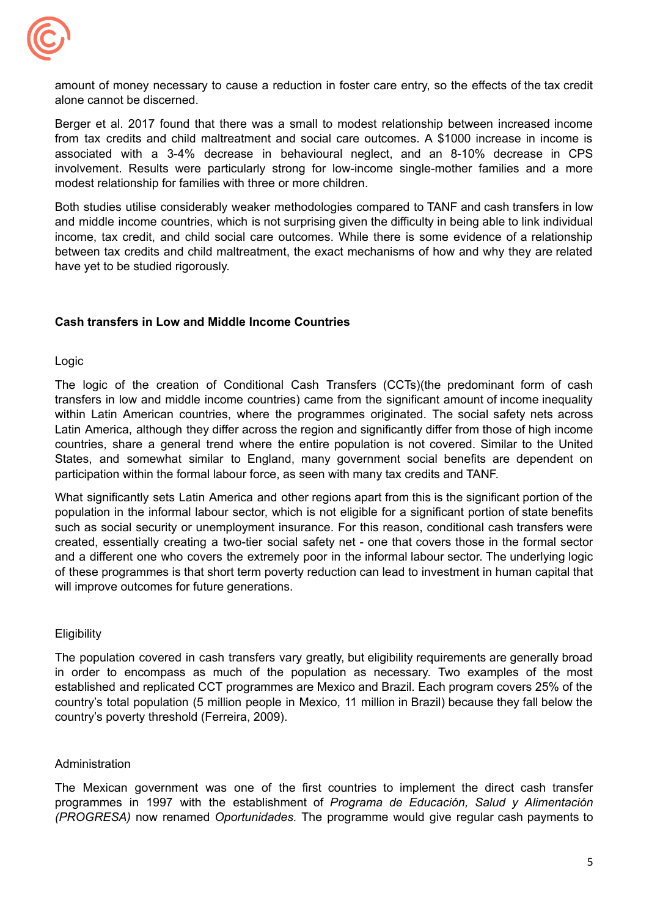

 alone cannot be discerned. amount of money necessary to cause a reduction in foster care entry, so the effects of the tax credit

 modest relationship for families with three or more children. Berger et al. 2017 found that there was a small to modest relationship between increased income from tax credits and child maltreatment and social care outcomes. A \$1000 increase in income is associated with a 3-4% decrease in behavioural neglect, and an 8-10% decrease in CPS involvement. Results were particularly strong for low-income single-mother families and a more

 have yet to be studied rigorously. Both studies utilise considerably weaker methodologies compared to TANF and cash transfers in low and middle income countries, which is not surprising given the difficulty in being able to link individual income, tax credit, and child social care outcomes. While there is some evidence of a relationship between tax credits and child maltreatment, the exact mechanisms of how and why they are related

# **Cash transfers in Low and Middle Income Countries**

## Logic

 participation within the formal labour force, as seen with many tax credits and TANF. The logic of the creation of Conditional Cash Transfers (CCTs)(the predominant form of cash transfers in low and middle income countries) came from the significant amount of income inequality within Latin American countries, where the programmes originated. The social safety nets across Latin America, although they differ across the region and significantly differ from those of high income countries, share a general trend where the entire population is not covered. Similar to the United States, and somewhat similar to England, many government social benefits are dependent on

 will improve outcomes for future generations. What significantly sets Latin America and other regions apart from this is the significant portion of the population in the informal labour sector, which is not eligible for a significant portion of state benefits such as social security or unemployment insurance. For this reason, conditional cash transfers were created, essentially creating a two-tier social safety net - one that covers those in the formal sector and a different one who covers the extremely poor in the informal labour sector. The underlying logic of these programmes is that short term poverty reduction can lead to investment in human capital that

## **Eligibility**

 country's poverty threshold (Ferreira, 2009). The population covered in cash transfers vary greatly, but eligibility requirements are generally broad in order to encompass as much of the population as necessary. Two examples of the most established and replicated CCT programmes are Mexico and Brazil. Each program covers 25% of the country's total population (5 million people in Mexico, 11 million in Brazil) because they fall below the

## Administration

The Mexican government was one of the first countries to implement the direct cash transfer programmes in 1997 with the establishment of *Programa de Educación, Salud y Alimentación (PROGRESA)* now renamed *Oportunidades.* The programme would give regular cash payments to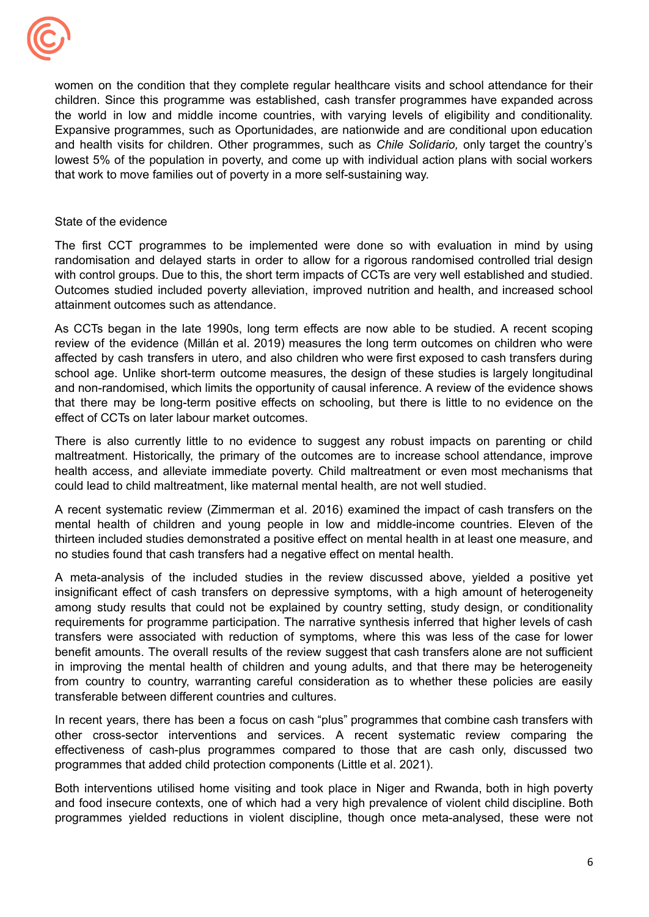

 that work to move families out of poverty in a more self-sustaining way. women on the condition that they complete regular healthcare visits and school attendance for their children. Since this programme was established, cash transfer programmes have expanded across the world in low and middle income countries, with varying levels of eligibility and conditionality. Expansive programmes, such as Oportunidades, are nationwide and are conditional upon education and health visits for children. Other programmes, such as *Chile Solidario,* only target the country's lowest 5% of the population in poverty, and come up with individual action plans with social workers

### State of the evidence

 attainment outcomes such as attendance. The first CCT programmes to be implemented were done so with evaluation in mind by using randomisation and delayed starts in order to allow for a rigorous randomised controlled trial design with control groups. Due to this, the short term impacts of CCTs are very well established and studied. Outcomes studied included poverty alleviation, improved nutrition and health, and increased school

 effect of CCTs on later labour market outcomes. As CCTs began in the late 1990s, long term effects are now able to be studied. A recent scoping review of the evidence (Millán et al. 2019) measures the long term outcomes on children who were affected by cash transfers in utero, and also children who were first exposed to cash transfers during school age. Unlike short-term outcome measures, the design of these studies is largely longitudinal and non-randomised, which limits the opportunity of causal inference. A review of the evidence shows that there may be long-term positive effects on schooling, but there is little to no evidence on the

 could lead to child maltreatment, like maternal mental health, are not well studied. There is also currently little to no evidence to suggest any robust impacts on parenting or child maltreatment. Historically, the primary of the outcomes are to increase school attendance, improve health access, and alleviate immediate poverty. Child maltreatment or even most mechanisms that

 no studies found that cash transfers had a negative effect on mental health. A recent systematic review (Zimmerman et al. 2016) examined the impact of cash transfers on the mental health of children and young people in low and middle-income countries. Eleven of the thirteen included studies demonstrated a positive effect on mental health in at least one measure, and

 transferable between different countries and cultures. A meta-analysis of the included studies in the review discussed above, yielded a positive yet insignificant effect of cash transfers on depressive symptoms, with a high amount of heterogeneity among study results that could not be explained by country setting, study design, or conditionality requirements for programme participation. The narrative synthesis inferred that higher levels of cash transfers were associated with reduction of symptoms, where this was less of the case for lower benefit amounts. The overall results of the review suggest that cash transfers alone are not sufficient in improving the mental health of children and young adults, and that there may be heterogeneity from country to country, warranting careful consideration as to whether these policies are easily

 programmes that added child protection components (Little et al. 2021). In recent years, there has been a focus on cash "plus" programmes that combine cash transfers with other cross-sector interventions and services. A recent systematic review comparing the effectiveness of cash-plus programmes compared to those that are cash only, discussed two

Both interventions utilised home visiting and took place in Niger and Rwanda, both in high poverty and food insecure contexts, one of which had a very high prevalence of violent child discipline. Both programmes yielded reductions in violent discipline, though once meta-analysed, these were not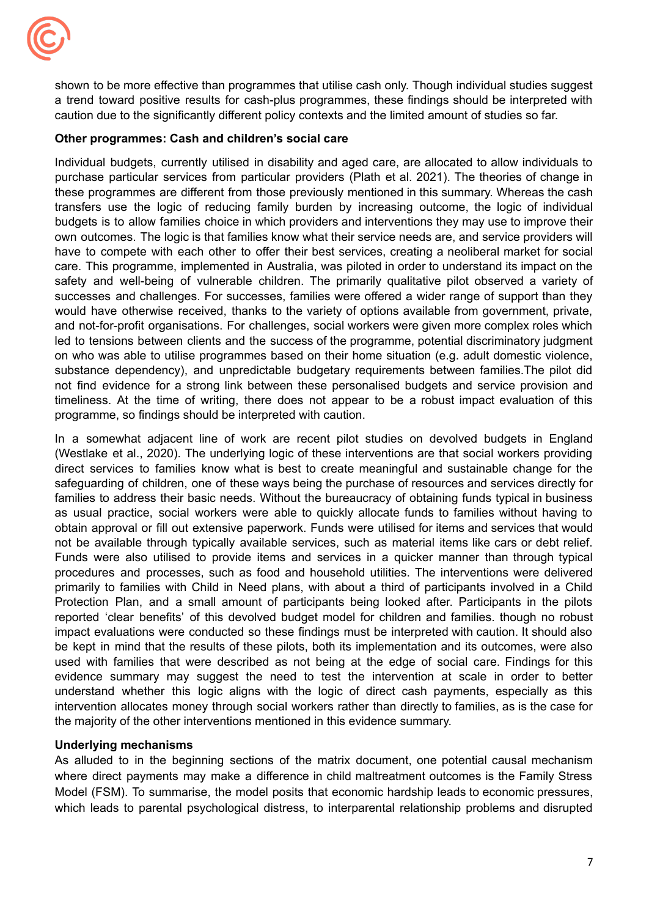

 caution due to the significantly different policy contexts and the limited amount of studies so far. shown to be more effective than programmes that utilise cash only. Though individual studies suggest a trend toward positive results for cash-plus programmes, these findings should be interpreted with

## **Other programmes: Cash and children's social care**

 programme, so findings should be interpreted with caution. Individual budgets, currently utilised in disability and aged care, are allocated to allow individuals to purchase particular services from particular providers (Plath et al. 2021). The theories of change in these programmes are different from those previously mentioned in this summary. Whereas the cash transfers use the logic of reducing family burden by increasing outcome, the logic of individual budgets is to allow families choice in which providers and interventions they may use to improve their own outcomes. The logic is that families know what their service needs are, and service providers will have to compete with each other to offer their best services, creating a neoliberal market for social care. This programme, implemented in Australia, was piloted in order to understand its impact on the safety and well-being of vulnerable children. The primarily qualitative pilot observed a variety of successes and challenges. For successes, families were offered a wider range of support than they would have otherwise received, thanks to the variety of options available from government, private, and not-for-profit organisations. For challenges, social workers were given more complex roles which led to tensions between clients and the success of the programme, potential discriminatory judgment on who was able to utilise programmes based on their home situation (e.g. adult domestic violence, substance dependency), and unpredictable budgetary requirements between families.The pilot did not find evidence for a strong link between these personalised budgets and service provision and timeliness. At the time of writing, there does not appear to be a robust impact evaluation of this

 the majority of the other interventions mentioned in this evidence summary. In a somewhat adjacent line of work are recent pilot studies on devolved budgets in England (Westlake et al., 2020). The underlying logic of these interventions are that social workers providing direct services to families know what is best to create meaningful and sustainable change for the safeguarding of children, one of these ways being the purchase of resources and services directly for families to address their basic needs. Without the bureaucracy of obtaining funds typical in business as usual practice, social workers were able to quickly allocate funds to families without having to obtain approval or fill out extensive paperwork. Funds were utilised for items and services that would not be available through typically available services, such as material items like cars or debt relief. Funds were also utilised to provide items and services in a quicker manner than through typical procedures and processes, such as food and household utilities. The interventions were delivered primarily to families with Child in Need plans, with about a third of participants involved in a Child Protection Plan, and a small amount of participants being looked after. Participants in the pilots reported 'clear benefits' of this devolved budget model for children and families. though no robust impact evaluations were conducted so these findings must be interpreted with caution. It should also be kept in mind that the results of these pilots, both its implementation and its outcomes, were also used with families that were described as not being at the edge of social care. Findings for this evidence summary may suggest the need to test the intervention at scale in order to better understand whether this logic aligns with the logic of direct cash payments, especially as this intervention allocates money through social workers rather than directly to families, as is the case for

## **Underlying mechanisms**

As alluded to in the beginning sections of the matrix document, one potential causal mechanism where direct payments may make a difference in child maltreatment outcomes is the Family Stress Model (FSM). To summarise, the model posits that economic hardship leads to economic pressures, which leads to parental psychological distress, to interparental relationship problems and disrupted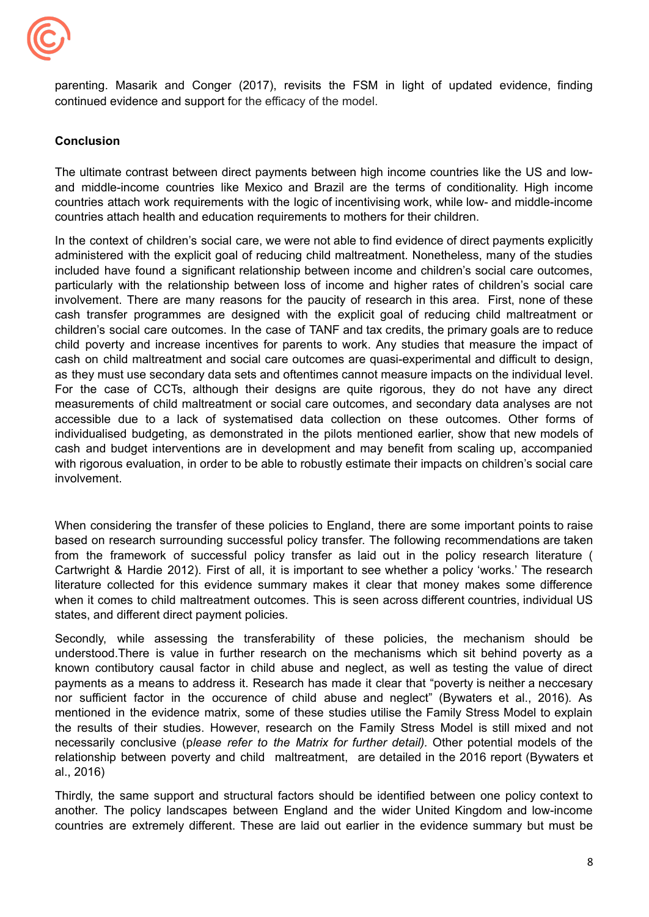

 continued evidence and support for the efficacy of the model. parenting. Masarik and Conger (2017), revisits the FSM in light of updated evidence, finding

# **Conclusion**

 countries attach health and education requirements to mothers for their children. The ultimate contrast between direct payments between high income countries like the US and lowand middle-income countries like Mexico and Brazil are the terms of conditionality. High income countries attach work requirements with the logic of incentivising work, while low- and middle-income

In the context of children's social care, we were not able to find evidence of direct payments explicitly administered with the explicit goal of reducing child maltreatment. Nonetheless, many of the studies included have found a significant relationship between income and children's social care outcomes, particularly with the relationship between loss of income and higher rates of children's social care involvement. There are many reasons for the paucity of research in this area. First, none of these cash transfer programmes are designed with the explicit goal of reducing child maltreatment or children's social care outcomes. In the case of TANF and tax credits, the primary goals are to reduce child poverty and increase incentives for parents to work. Any studies that measure the impact of cash on child maltreatment and social care outcomes are quasi-experimental and difficult to design, as they must use secondary data sets and oftentimes cannot measure impacts on the individual level. For the case of CCTs, although their designs are quite rigorous, they do not have any direct measurements of child maltreatment or social care outcomes, and secondary data analyses are not accessible due to a lack of systematised data collection on these outcomes. Other forms of individualised budgeting, as demonstrated in the pilots mentioned earlier, show that new models of cash and budget interventions are in development and may benefit from scaling up, accompanied with rigorous evaluation, in order to be able to robustly estimate their impacts on children's social care involvement.

 states, and different direct payment policies. When considering the transfer of these policies to England, there are some important points to raise based on research surrounding successful policy transfer. The following recommendations are taken from the framework of successful policy transfer as laid out in the policy research literature ( Cartwright & Hardie 2012). First of all, it is important to see whether a policy 'works.' The research literature collected for this evidence summary makes it clear that money makes some difference when it comes to child maltreatment outcomes. This is seen across different countries, individual US

Secondly, while assessing the transferability of these policies, the mechanism should be understood.There is value in further research on the mechanisms which sit behind poverty as a known contibutory causal factor in child abuse and neglect, as well as testing the value of direct payments as a means to address it. Research has made it clear that "poverty is neither a neccesary nor sufficient factor in the occurence of child abuse and neglect" (Bywaters et al., 2016)*.* As mentioned in the evidence matrix, some of these studies utilise the Family Stress Model to explain the results of their studies. However, research on the Family Stress Model is still mixed and not necessarily conclusive (p*lease refer to the Matrix for further detail).* Other potential models of the relationship between poverty and child maltreatment, are detailed in the 2016 report (Bywaters et al., 2016)

Thirdly, the same support and structural factors should be identified between one policy context to another. The policy landscapes between England and the wider United Kingdom and low-income countries are extremely different. These are laid out earlier in the evidence summary but must be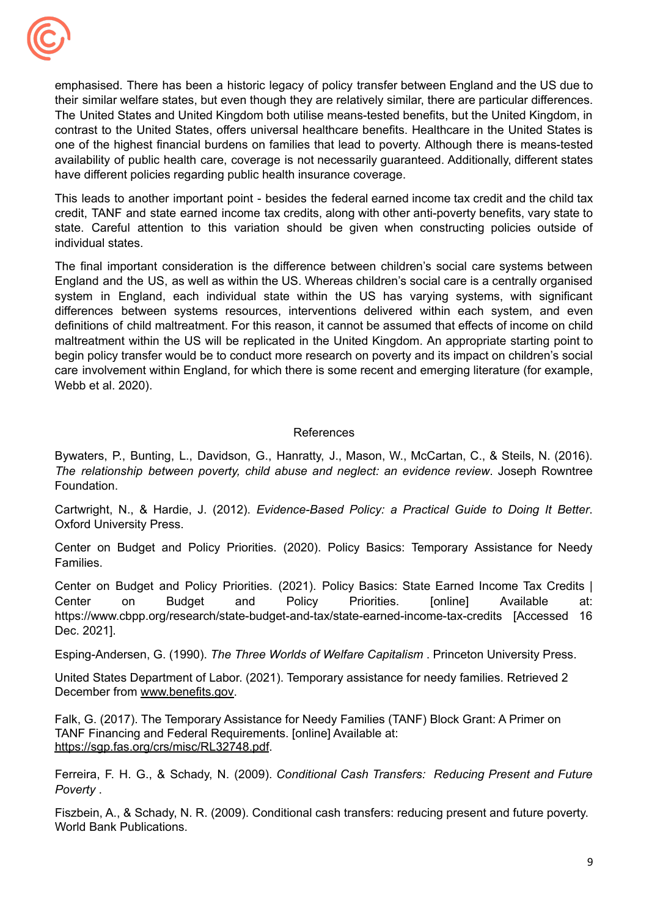

 have different policies regarding public health insurance coverage. emphasised. There has been a historic legacy of policy transfer between England and the US due to their similar welfare states, but even though they are relatively similar, there are particular differences. The United States and United Kingdom both utilise means-tested benefits, but the United Kingdom, in contrast to the United States, offers universal healthcare benefits. Healthcare in the United States is one of the highest financial burdens on families that lead to poverty. Although there is means-tested availability of public health care, coverage is not necessarily guaranteed. Additionally, different states

This leads to another important point - besides the federal earned income tax credit and the child tax credit, TANF and state earned income tax credits, along with other anti-poverty benefits, vary state to state. Careful attention to this variation should be given when constructing policies outside of individual states.

 Webb et al. 2020). The final important consideration is the difference between children's social care systems between England and the US, as well as within the US. Whereas children's social care is a centrally organised system in England, each individual state within the US has varying systems, with significant differences between systems resources, interventions delivered within each system, and even definitions of child maltreatment. For this reason, it cannot be assumed that effects of income on child maltreatment within the US will be replicated in the United Kingdom. An appropriate starting point to begin policy transfer would be to conduct more research on poverty and its impact on children's social care involvement within England, for which there is some recent and emerging literature (for example,

#### References

Bywaters, P., Bunting, L., Davidson, G., Hanratty, J., Mason, W., McCartan, C., & Steils, N. (2016). *The relationship between poverty, child abuse and neglect: an evidence review*. Joseph Rowntree Foundation.

 Oxford University Press. Cartwright, N., & Hardie, J. (2012). *Evidence-Based Policy: a Practical Guide to Doing It Better*.

Center on Budget and Policy Priorities. (2020). Policy Basics: Temporary Assistance for Needy Families.

Center on Budget and Policy Priorities. (2021). Policy Basics: State Earned Income Tax Credits | Center on Budget and Policy Priorities. [online] Available at: <https://www.cbpp.org/research/state-budget-and-tax/state-earned-income-tax-credits> [Accessed 16 Dec. 2021].

Esping-Andersen, G. (1990). *The Three Worlds of Welfare Capitalism* . Princeton University Press.

 United States Department of Labor. (2021). Temporary assistance for needy families. Retrieved 2 December from [www.benefits.gov.](http://www.benefits.gov)

 Falk, G. (2017). The Temporary Assistance for Needy Families (TANF) Block Grant: A Primer on TANF Financing and Federal Requirements. [online] Available at: <https://sgp.fas.org/crs/misc/RL32748.pdf>.

Ferreira, F. H. G., & Schady, N. (2009). *Conditional Cash Transfers: Reducing Present and Future Poverty* .

 Fiszbein, A., & Schady, N. R. (2009). Conditional cash transfers: reducing present and future poverty. World Bank Publications.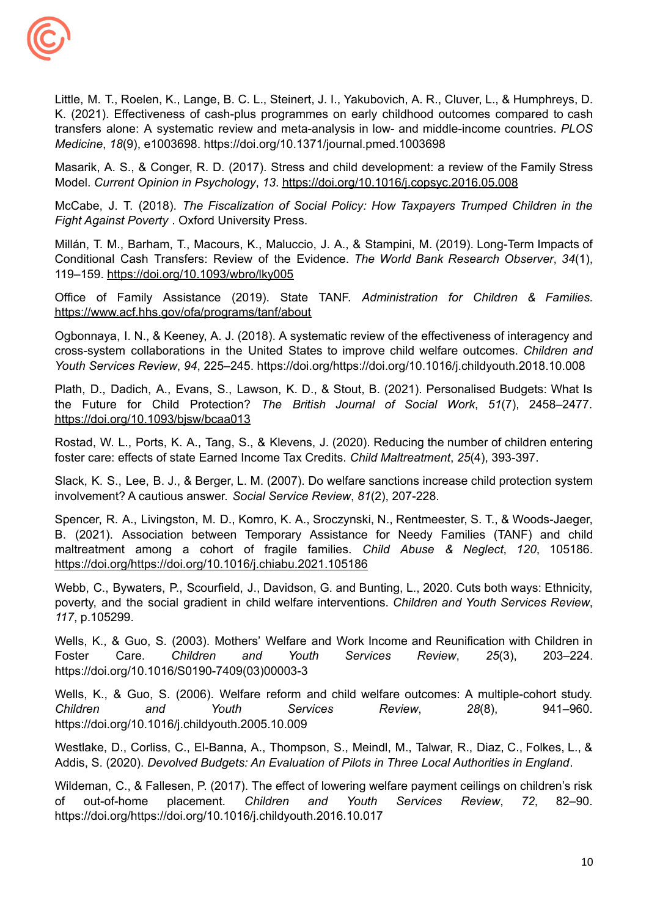

 *Medicine*, *18*(9), e1003698. <https://doi.org/10.1371/journal.pmed.1003698> Little, M. T., Roelen, K., Lange, B. C. L., Steinert, J. I., Yakubovich, A. R., Cluver, L., & Humphreys, D. K. (2021). Effectiveness of cash-plus programmes on early childhood outcomes compared to cash transfers alone: A systematic review and meta-analysis in low- and middle-income countries. *PLOS*

 Model. *Current Opinion in Psychology*, *13*. <https://doi.org/10.1016/j.copsyc.2016.05.008> Masarik, A. S., & Conger, R. D. (2017). Stress and child development: a review of the Family Stress

 *Fight Against Poverty* . Oxford University Press. McCabe, J. T. (2018). *The Fiscalization of Social Policy: How Taxpayers Trumped Children in the*

Millán, T. M., Barham, T., Macours, K., Maluccio, J. A., & Stampini, M. (2019). Long-Term Impacts of Conditional Cash Transfers: Review of the Evidence. *The World Bank Research Observer*, *34*(1), 119–159. <https://doi.org/10.1093/wbro/lky005>

Office of Family Assistance (2019). State TANF. *Administration for Children & Families.* <https://www.acf.hhs.gov/ofa/programs/tanf/about>

 *Youth Services Review*, *94*, 225–245. <https://doi.org/https://doi.org/10.1016/j.childyouth.2018.10.008> Ogbonnaya, I. N., & Keeney, A. J. (2018). A systematic review of the effectiveness of interagency and cross-system collaborations in the United States to improve child welfare outcomes. *Children and*

Plath, D., Dadich, A., Evans, S., Lawson, K. D., & Stout, B. (2021). Personalised Budgets: What Is the Future for Child Protection? *The British Journal of Social Work*, *51*(7), 2458–2477. <https://doi.org/10.1093/bjsw/bcaa013>

 foster care: effects of state Earned Income Tax Credits. *Child Maltreatment*, *25*(4), 393-397. Rostad, W. L., Ports, K. A., Tang, S., & Klevens, J. (2020). Reducing the number of children entering

 involvement? A cautious answer. *Social Service Review*, *81*(2), 207-228. Slack, K. S., Lee, B. J., & Berger, L. M. (2007). Do welfare sanctions increase child protection system

Spencer, R. A., Livingston, M. D., Komro, K. A., Sroczynski, N., Rentmeester, S. T., & Woods-Jaeger, B. (2021). Association between Temporary Assistance for Needy Families (TANF) and child maltreatment among a cohort of fragile families. *Child Abuse & Neglect*, *120*, 105186. <https://doi.org/https://doi.org/10.1016/j.chiabu.2021.105186>

Webb, C., Bywaters, P., Scourfield, J., Davidson, G. and Bunting, L., 2020. Cuts both ways: Ethnicity, poverty, and the social gradient in child welfare interventions. *Children and Youth Services Review*, *117*, p.105299.

Wells, K., & Guo, S. (2003). Mothers' Welfare and Work Income and Reunification with Children in Foster Care. *Children and Youth Services Review*, *25*(3), 203–224. [https://doi.org/10.1016/S0190-7409\(03\)00003-3](https://doi.org/10.1016/S0190-7409(03)00003-3)

Wells, K., & Guo, S. (2006). Welfare reform and child welfare outcomes: A multiple-cohort study. *Children and Youth Services Review*, *28*(8), 941–960. <https://doi.org/10.1016/j.childyouth.2005.10.009>

 Addis, S. (2020). *Devolved Budgets: An Evaluation of Pilots in Three Local Authorities in England*. Westlake, D., Corliss, C., El-Banna, A., Thompson, S., Meindl, M., Talwar, R., Diaz, C., Folkes, L., &

Wildeman, C., & Fallesen, P. (2017). The effect of lowering welfare payment ceilings on children's risk of out-of-home placement. *Children and Youth Services Review*, *72*, 82–90. <https://doi.org/https://doi.org/10.1016/j.childyouth.2016.10.017>